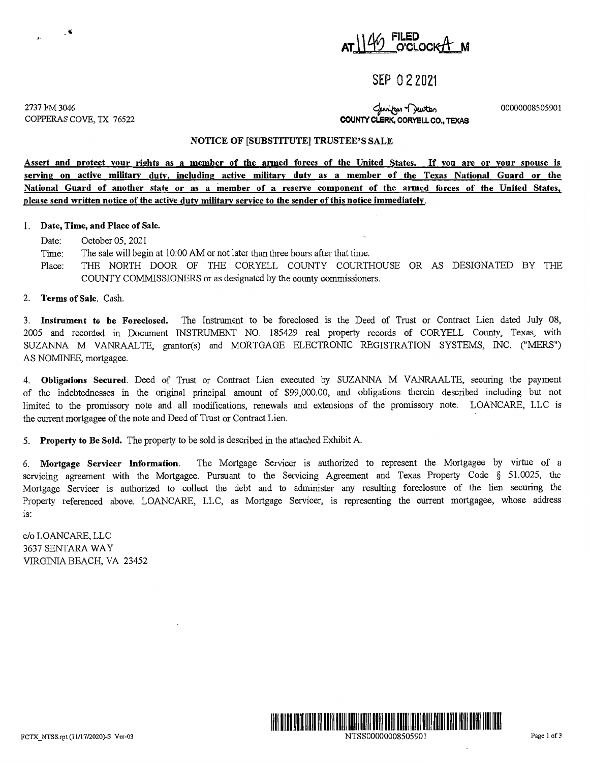

## **SEP O 2 2021**

2737 FM3046 COPPERAS COVE, TX 76522

 $\ddot{\bullet}$ 

لمناسبة C<sub>r</sub><br>**COUNTY CLERK, CORYELL CO., TEXAS** 

00000008505901

#### **NOTICE OF [SUBSTITUTE] TRUSTEE'S SALE**

**Assert and protect your rights as a member of the armed forces of the United States. If you are or your spouse is serving on active military duty. including active military duty as a member of the Texas National Guard or the National Guard of another state or as a member of a reserve component of the armed forces of the United States. please send written notice of the active duty military service to the sender of this notice immediatelv.** 

#### I. **Date, Time, and Place of Sale.**

- Date: October 05, 2021
- Time: The sale will begin at 10:00 AM or not later than three hours after that time.
- Place: THE NORTH DOOR OF THE CORYELL COUNTY COURTHOUSE OR AS DESIGNATED BY THE COUNTY COMMISSIONERS or as designated by the county commissioners.

#### 2. **Terms of Sale.** Cash.

3. **Instrument to be Foreclosed.** The Instrument to be foreclosed is the Deed of Trust or Contract Lien dated July 08, 2005 and recorded in Document INSTRUMENT NO. 185429 real property records of CORYELL County, Texas, with SUZANNA M VANRAALTE, grantor(s) and MORTGAGE ELECTRONIC REGISTRATION SYSTEMS, INC. ("MERS") AS NOMINEE, mortgagee.

4. **Obligations Secured**. Deed of Trust or Contract Lien executed by SUZANNA M VANRAALTE, securing the payment of the indebtednesses in the original principal amount of \$99,000.00, and obligations therein described including but not limited to the promissory note and all modifications, renewals and extensions of the promissory note. LOANCARE, LLC is the current mortgagee of the note and Deed of Trust or Contract Lien.

5. **Property to Be Sold.** The property to be sold is described in the attached Exhibit A

6. **Mortgage Servicer Information.** The Mortgage Servicer is authorized to represent the Mortgagee by virtue of a servicing agreement with the Mortgagee. Pursuant to the Servicing Agreement and Texas Property Code § 51.0025, the Mortgage Servicer is authorized to collect the debt and to administer any resulting foreclosure of the lien securing the Property referenced above. LOANCARE, LLC, as Mortgage Servicer, is representing the current mortgagee, whose address 1s:

c/o LOANCARE, LLC 3637 SENTARA WAY VIRGINIA BEACH, VA 23452



NTSS00000008505901 Page 1 of 3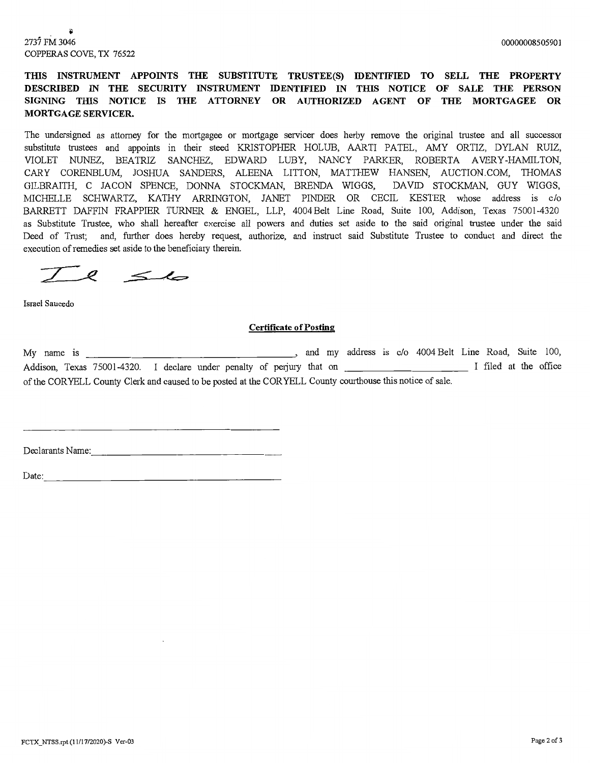2737 FM 3046 COPPERAS COVE, TX 76522

### **TIIlS INSTRUMENT APPOINTS THE SUBSTITUTE TRUSTEE(S) IDENTIFIED TO SELL THE PROPERTY DESCRIBED IN THE SECURITY INSTRUMENT IDENTIFIED IN THIS NOTICE OF SALE THE PERSON SIGNING THIS NOTICE IS THE ATTORNEY OR AUTHORIZED AGENT OF THE MORTGAGEE OR MORTGAGE SERVICER.**

The undersigned as attorney for the mortgagee or mortgage servicer does herby remove the original trustee and all successor substitute trustees and appoints in their steed KRISTOPHER HOLUB, AARTI PATEL, AMY ORTIZ, DYLAN RUIZ, VIOLET NUNEZ, BEATRIZ SANCHEZ, EDWARD LUBY, NANCY PARKER, ROBERTA A VERY-HAMILTON, CARY CORENBLUM, JOSHUA SANDERS, ALEENA LITTON, MATTHEW HANSEN, AUCTION.COM, THOMAS GILBRAITH, C JACON SPENCE, DONNA STOCKMAN, BRENDA WIGGS, DAVID STOCKMAN, GUY WIGGS, MICHELLE SCHWARTZ, KATHY ARRINGTON, JANET PINDER OR CECIL KESTER whose address is c/o BARRETT DAFFIN FRAPPIER TURNER & ENGEL, LLP, 4004 Belt Line Road, Suite 100, Addison, Texas 75001-4320 as Substitute Trustee, who shall hereafter exercise all powers and duties set aside to the said original trustee under the said Deed of Trust; and, further does hereby request, authorize, and instruct said Substitute Trustee to conduct and direct the execution of remedies set aside to the beneficiary therein.

 $7$  e  $\leq$ la

Israel Saucedo

### **Certificate of Posting**

My name is \_\_\_\_\_\_\_\_\_\_\_\_\_\_\_\_\_\_ , and my address is c/o 4004 Belt Line Road, Suite 100, Addison, Texas 75001-4320. I declare under penalty of pe1jmy that on \_\_\_\_\_\_\_\_\_\_\_ I filed at the office of the CORYELL County Clerk and caused to be posted at the CORYELL County courthouse this notice of sale.

Declarants Name: \_\_\_\_\_\_\_\_\_\_\_\_\_\_\_ \_

Date: